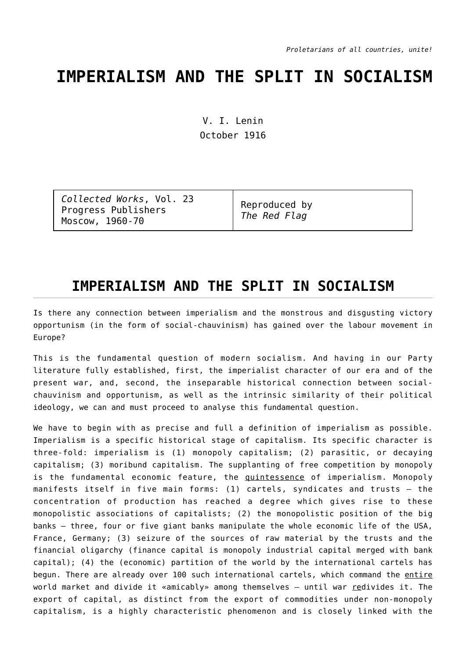*Proletarians of all countries, unite!*

## **IMPERIALISM AND THE SPLIT IN SOCIALISM**

V. I. Lenin October 1916

| Collected Works, Vol. 23<br>Progress Publishers<br>Moscow, 1960-70 | Reproduced by<br>The Red Flag |
|--------------------------------------------------------------------|-------------------------------|
|--------------------------------------------------------------------|-------------------------------|

## **IMPERIALISM AND THE SPLIT IN SOCIALISM**

Is there any connection between imperialism and the monstrous and disgusting victory opportunism (in the form of social-chauvinism) has gained over the labour movement in Europe?

This is the fundamental question of modern socialism. And having in our Party literature fully established, first, the imperialist character of our era and of the present war, and, second, the inseparable historical connection between socialchauvinism and opportunism, as well as the intrinsic similarity of their political ideology, we can and must proceed to analyse this fundamental question.

We have to begin with as precise and full a definition of imperialism as possible. Imperialism is a specific historical stage of capitalism. Its specific character is three-fold: imperialism is (1) monopoly capitalism; (2) parasitic, or decaying capitalism; (3) moribund capitalism. The supplanting of free competition by monopoly is the fundamental economic feature, the quintessence of imperialism. Monopoly manifests itself in five main forms: (1) cartels, syndicates and trusts — the concentration of production has reached a degree which gives rise to these monopolistic associations of capitalists; (2) the monopolistic position of the big banks — three, four or five giant banks manipulate the whole economic life of the USA, France, Germany; (3) seizure of the sources of raw material by the trusts and the financial oligarchy (finance capital is monopoly industrial capital merged with bank capital); (4) the (economic) partition of the world by the international cartels has begun. There are already over 100 such international cartels, which command the entire world market and divide it «amicably» among themselves - until war redivides it. The export of capital, as distinct from the export of commodities under non-monopoly capitalism, is a highly characteristic phenomenon and is closely linked with the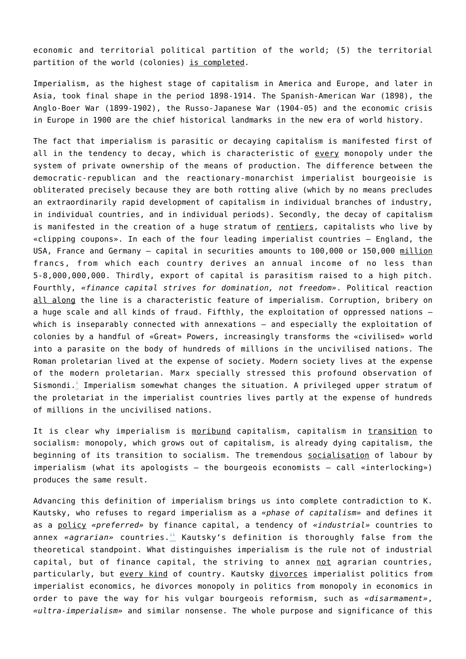economic and territorial political partition of the world; (5) the territorial partition of the world (colonies) is completed.

Imperialism, as the highest stage of capitalism in America and Europe, and later in Asia, took final shape in the period 1898-1914. The Spanish-American War (1898), the Anglo-Boer War (1899-1902), the Russo-Japanese War (1904-05) and the economic crisis in Europe in 1900 are the chief historical landmarks in the new era of world history.

The fact that imperialism is parasitic or decaying capitalism is manifested first of all in the tendency to decay, which is characteristic of every monopoly under the system of private ownership of the means of production. The difference between the democratic-republican and the reactionary-monarchist imperialist bourgeoisie is obliterated precisely because they are both rotting alive (which by no means precludes an extraordinarily rapid development of capitalism in individual branches of industry, in individual countries, and in individual periods). Secondly, the decay of capitalism is manifested in the creation of a huge stratum of rentiers, capitalists who live by «clipping coupons». In each of the four leading imperialist countries — England, the USA, France and Germany - capital in securities amounts to 100,000 or 150,000 million francs, from which each country derives an annual income of no less than 5-8,000,000,000. Thirdly, export of capital is parasitism raised to a high pitch. Fourthly, *«finance capital strives for domination, not freedom»*. Political reaction all along the line is a characteristic feature of imperialism. Corruption, bribery on a huge scale and all kinds of fraud. Fifthly, the exploitation of oppressed nations which is inseparably connected with annexations — and especially the exploitation of colonies by a handful of «Great» Powers, increasingly transforms the «civilised» world into a parasite on the body of hundreds of millions in the uncivilised nations. The Roman proletarian lived at the expense of society. Modern society lives at the expense of the modern proletarian. Marx specially stressed this profound observation of S[i](#page-10-0)smondi.<sup>i</sup> Imperialism somewhat changes the situation. A privileged upper stratum of the proletariat in the imperialist countries lives partly at the expense of hundreds of millions in the uncivilised nations.

<span id="page-1-0"></span>It is clear why imperialism is moribund capitalism, capitalism in transition to socialism: monopoly, which grows out of capitalism, is already dying capitalism, the beginning of its transition to socialism. The tremendous socialisation of labour by imperialism (what its apologists — the bourgeois economists — call «interlocking») produces the same result.

<span id="page-1-1"></span>Advancing this definition of imperialism brings us into complete contradiction to K. Kautsky, who refuses to regard imperialism as a *«phase of capitalism»* and defines it as a policy *«preferred»* by finance capital, a tendency of *«industrial»* countries to annex «agrarian» countries.<sup>[ii](#page-10-1)</sup> Kautsky's definition is thoroughly false from the theoretical standpoint. What distinguishes imperialism is the rule not of industrial capital, but of finance capital, the striving to annex not agrarian countries, particularly, but every kind of country. Kautsky divorces imperialist politics from imperialist economics, he divorces monopoly in politics from monopoly in economics in order to pave the way for his vulgar bourgeois reformism, such as *«disarmament»*, *«ultra-imperialism»* and similar nonsense. The whole purpose and significance of this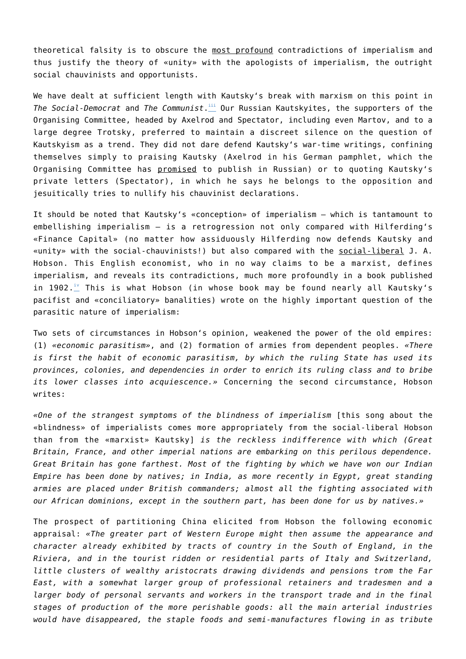theoretical falsity is to obscure the most profound contradictions of imperialism and thus justify the theory of «unity» with the apologists of imperialism, the outright social chauvinists and opportunists.

<span id="page-2-0"></span>We have dealt at sufficient length with Kautsky's break with marxism on this point in *The Social-Democrat* and *The Communist*. [iii](#page-10-2) Our Russian Kautskyites, the supporters of the Organising Committee, headed by Axelrod and Spectator, including even Martov, and to a large degree Trotsky, preferred to maintain a discreet silence on the question of Kautskyism as a trend. They did not dare defend Kautsky's war-time writings, confining themselves simply to praising Kautsky (Axelrod in his German pamphlet, which the Organising Committee has promised to publish in Russian) or to quoting Kautsky's private letters (Spectator), in which he says he belongs to the opposition and jesuitically tries to nullify his chauvinist declarations.

It should be noted that Kautsky's «conception» of imperialism — which is tantamount to embellishing imperialism — is a retrogression not only compared with Hilferding's «Finance Capital» (no matter how assiduously Hilferding now defends Kautsky and «unity» with the social-chauvinists!) but also compared with the social-liberal J. A. Hobson. This English economist, who in no way claims to be a marxist, defines imperialism, and reveals its contradictions, much more profoundly in a book published in 1902. $\frac{i\sqrt{3}}{2}$  This is what Hobson (in whose book may be found nearly all Kautsky's pacifist and «conciliatory» banalities) wrote on the highly important question of the parasitic nature of imperialism:

<span id="page-2-1"></span>Two sets of circumstances in Hobson's opinion, weakened the power of the old empires: (1) *«economic parasitism»*, and (2) formation of armies from dependent peoples. *«There is first the habit of economic parasitism, by which the ruling State has used its provinces, colonies, and dependencies in order to enrich its ruling class and to bribe its lower classes into acquiescence.»* Concerning the second circumstance, Hobson writes:

*«One of the strangest symptoms of the blindness of imperialism* [this song about the «blindness» of imperialists comes more appropriately from the social-liberal Hobson than from the «marxist» Kautsky] *is the reckless indifference with which (Great Britain, France, and other imperial nations are embarking on this perilous dependence. Great Britain has gone farthest. Most of the fighting by which we have won our Indian Empire has been done by natives; in India, as more recently in Egypt, great standing armies are placed under British commanders; almost all the fighting associated with our African dominions, except in the southern part, has been done for us by natives.»*

The prospect of partitioning China elicited from Hobson the following economic appraisal: *«The greater part of Western Europe might then assume the appearance and character already exhibited by tracts of country in the South of England, in the Riviera, and in the tourist ridden or residential parts of Italy and Switzerland, little clusters of wealthy aristocrats drawing dividends and pensions trom the Far East, with a somewhat larger group of professional retainers and tradesmen and a larger body of personal servants and workers in the transport trade and in the final stages of production of the more perishable goods: all the main arterial industries would have disappeared, the staple foods and semi-manufactures flowing in as tribute*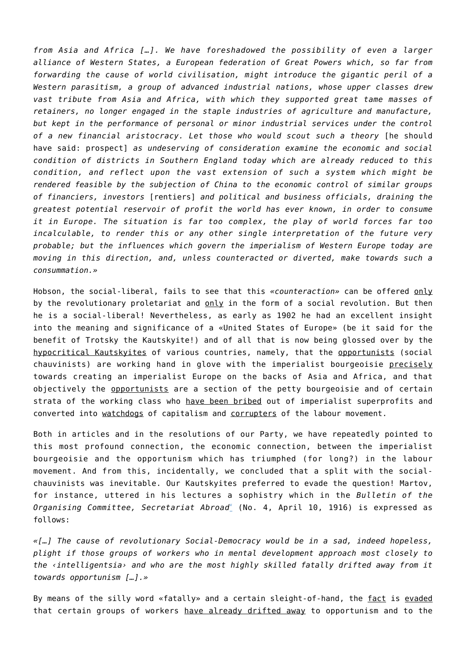*from Asia and Africa […]. We have foreshadowed the possibility of even a larger alliance of Western States, a European federation of Great Powers which, so far from forwarding the cause of world civilisation, might introduce the gigantic peril of a Western parasitism, a group of advanced industrial nations, whose upper classes drew vast tribute from Asia and Africa, with which they supported great tame masses of retainers, no longer engaged in the staple industries of agriculture and manufacture, but kept in the performance of personal or minor industrial services under the control of a new financial aristocracy. Let those who would scout such a theory* [he should have said: prospect] *as undeserving of consideration examine the economic and social condition of districts in Southern England today which are already reduced to this condition, and reflect upon the vast extension of such a system which might be rendered feasible by the subjection of China to the economic control of similar groups of financiers, investors* [rentiers] *and political and business officials, draining the greatest potential reservoir of profit the world has ever known, in order to consume it in Europe. The situation is far too complex, the play of world forces far too incalculable, to render this or any other single interpretation of the future very probable; but the influences which govern the imperialism of Western Europe today are moving in this direction, and, unless counteracted or diverted, make towards such a consummation.»*

Hobson, the social-liberal, fails to see that this *«counteraction»* can be offered only by the revolutionary proletariat and only in the form of a social revolution. But then he is a social-liberal! Nevertheless, as early as 1902 he had an excellent insight into the meaning and significance of a «United States of Europe» (be it said for the benefit of Trotsky the Kautskyite!) and of all that is now being glossed over by the hypocritical Kautskyites of various countries, namely, that the opportunists (social chauvinists) are working hand in glove with the imperialist bourgeoisie precisely towards creating an imperialist Europe on the backs of Asia and Africa, and that objectively the opportunists are a section of the petty bourgeoisie and of certain strata of the working class who have been bribed out of imperialist superprofits and converted into watchdogs of capitalism and corrupters of the labour movement.

Both in articles and in the resolutions of our Party, we have repeatedly pointed to this most profound connection, the economic connection, between the imperialist bourgeoisie and the opportunism which has triumphed (for long?) in the labour movement. And from this, incidentally, we concluded that a split with the socialchauvinists was inevitable. Our Kautskyites preferred to evade the question! Martov, for instance, uttered in his lectures a sophistry which in the *Bulletin of the*  ${\it Organising}$  Committee, Secretariat Abroad $^{\rm\scriptscriptstyle v}$  $^{\rm\scriptscriptstyle v}$  $^{\rm\scriptscriptstyle v}$  (No. 4, April 10, 1916) is expressed as follows:

<span id="page-3-0"></span>*«[…] The cause of revolutionary Social-Democracy would be in a sad, indeed hopeless, plight if those groups of workers who in mental development approach most closely to the ‹intelligentsia› and who are the most highly skilled fatally drifted away from it towards opportunism […].»*

By means of the silly word «fatally» and a certain sleight-of-hand, the fact is evaded that certain groups of workers have already drifted away to opportunism and to the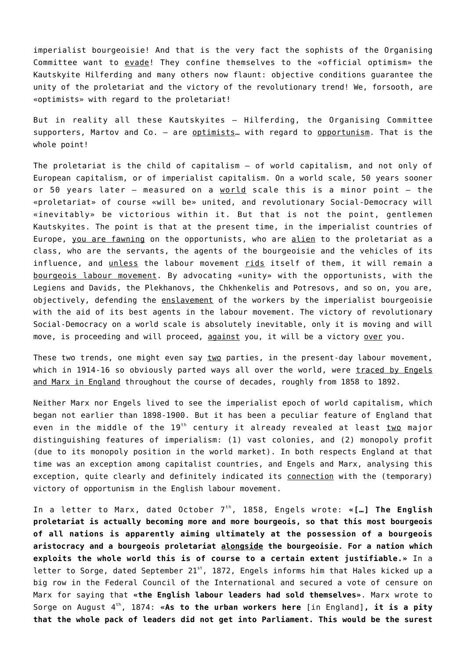imperialist bourgeoisie! And that is the very fact the sophists of the Organising Committee want to evade! They confine themselves to the «official optimism» the Kautskyite Hilferding and many others now flaunt: objective conditions guarantee the unity of the proletariat and the victory of the revolutionary trend! We, forsooth, are «optimists» with regard to the proletariat!

But in reality all these Kautskyites — Hilferding, the Organising Committee supporters, Martov and Co. - are optimists... with regard to opportunism. That is the whole point!

The proletariat is the child of capitalism — of world capitalism, and not only of European capitalism, or of imperialist capitalism. On a world scale, 50 years sooner or 50 years later - measured on a world scale this is a minor point - the «proletariat» of course «will be» united, and revolutionary Social-Democracy will «inevitably» be victorious within it. But that is not the point, gentlemen Kautskyites. The point is that at the present time, in the imperialist countries of Europe, you are fawning on the opportunists, who are alien to the proletariat as a class, who are the servants, the agents of the bourgeoisie and the vehicles of its influence, and unless the labour movement rids itself of them, it will remain a bourgeois labour movement. By advocating «unity» with the opportunists, with the Legiens and Davids, the Plekhanovs, the Chkhenkelis and Potresovs, and so on, you are, objectively, defending the enslavement of the workers by the imperialist bourgeoisie with the aid of its best agents in the labour movement. The victory of revolutionary Social-Democracy on a world scale is absolutely inevitable, only it is moving and will move, is proceeding and will proceed, against you, it will be a victory over you.

These two trends, one might even say  $\underline{two}$  parties, in the present-day labour movement, which in 1914-16 so obviously parted ways all over the world, were traced by Engels and Marx in England throughout the course of decades, roughly from 1858 to 1892.

Neither Marx nor Engels lived to see the imperialist epoch of world capitalism, which began not earlier than 1898-1900. But it has been a peculiar feature of England that even in the middle of the  $19<sup>th</sup>$  century it already revealed at least two major distinguishing features of imperialism: (1) vast colonies, and (2) monopoly profit (due to its monopoly position in the world market). In both respects England at that time was an exception among capitalist countries, and Engels and Marx, analysing this exception, quite clearly and definitely indicated its connection with the (temporary) victory of opportunism in the English labour movement.

In a letter to Marx, dated October 7<sup>th</sup>, 1858, Engels wrote: «[...] The English **proletariat is actually becoming more and more bourgeois, so that this most bourgeois of all nations is apparently aiming ultimately at the possession of a bourgeois aristocracy and a bourgeois proletariat alongside the bourgeoisie. For a nation which exploits the whole world this is of course to a certain extent justifiable.»** In a letter to Sorge, dated September  $21^{st}$ , 1872, Engels informs him that Hales kicked up a big row in the Federal Council of the International and secured a vote of censure on Marx for saying that **«the English labour leaders had sold themselves»**. Marx wrote to Sorge on August 4th, 1874: **«As to the urban workers here** [in England]**, it is a pity that the whole pack of leaders did not get into Parliament. This would be the surest**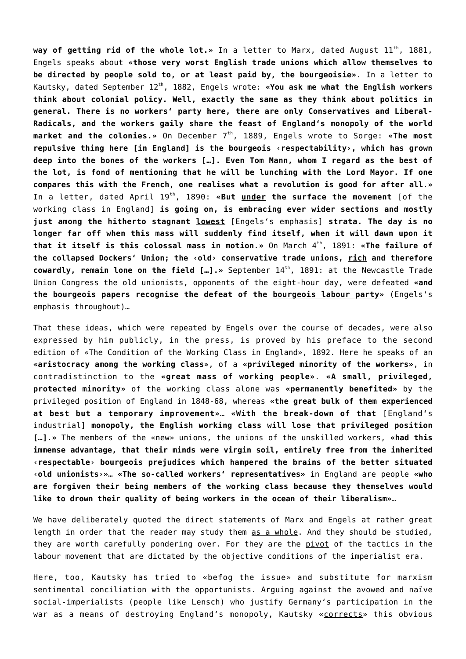way of getting rid of the whole lot.» In a letter to Marx, dated August 11<sup>th</sup>, 1881, Engels speaks about **«those very worst English trade unions which allow themselves to be directed by people sold to, or at least paid by, the bourgeoisie»**. In a letter to Kautsky, dated September 12th, 1882, Engels wrote: **«You ask me what the English workers think about colonial policy. Well, exactly the same as they think about politics in general. There is no workers' party here, there are only Conservatives and Liberal-Radicals, and the workers gaily share the feast of England's monopoly of the world** market and the colonies.» On December 7<sup>th</sup>, 1889, Engels wrote to Sorge: «The most **repulsive thing here [in England] is the bourgeois ‹respectability›, which has grown deep into the bones of the workers […]. Even Tom Mann, whom I regard as the best of the lot, is fond of mentioning that he will be lunching with the Lord Mayor. If one compares this with the French, one realises what a revolution is good for after all.»** In a letter, dated April 19<sup>th</sup>, 1890: «But under the surface the movement [of the working class in England] **is going on, is embracing ever wider sections and mostly just among the hitherto stagnant lowest** [Engels's emphasis] **strata. The day is no longer far off when this mass will suddenly find itself, when it will dawn upon it that it itself is this colossal mass in motion.»** On March 4th, 1891: **«The failure of the collapsed Dockers' Union; the ‹old› conservative trade unions, rich and therefore cowardly, remain lone on the field […].»** September 14<sup>th</sup>, 1891: at the Newcastle Trade Union Congress the old unionists, opponents of the eight-hour day, were defeated **«and the bourgeois papers recognise the defeat of the bourgeois labour party»** (Engels's emphasis throughout)…

That these ideas, which were repeated by Engels over the course of decades, were also expressed by him publicly, in the press, is proved by his preface to the second edition of «The Condition of the Working Class in England», 1892. Here he speaks of an **«aristocracy among the working class»**, of a **«privileged minority of the workers»**, in contradistinction to the **«great mass of working people»**. **«A small, privileged, protected minority»** of the working class alone was **«permanently benefited»** by the privileged position of England in 1848-68, whereas **«the great bulk of them experienced at best but a temporary improvement»**… **«With the break-down of that** [England's industrial] **monopoly, the English working class will lose that privileged position […].»** The members of the «new» unions, the unions of the unskilled workers, **«had this immense advantage, that their minds were virgin soil, entirely free from the inherited ‹respectable› bourgeois prejudices which hampered the brains of the better situated ‹old unionists›»**… **«The so-called workers' representatives»** in England are people **«who are forgiven their being members of the working class because they themselves would like to drown their quality of being workers in the ocean of their liberalism»**…

We have deliberately quoted the direct statements of Marx and Engels at rather great length in order that the reader may study them as a whole. And they should be studied, they are worth carefully pondering over. For they are the pivot of the tactics in the labour movement that are dictated by the objective conditions of the imperialist era.

Here, too, Kautsky has tried to «befog the issue» and substitute for marxism sentimental conciliation with the opportunists. Arguing against the avowed and naïve social-imperialists (people like Lensch) who justify Germany's participation in the war as a means of destroying England's monopoly, Kautsky «corrects» this obvious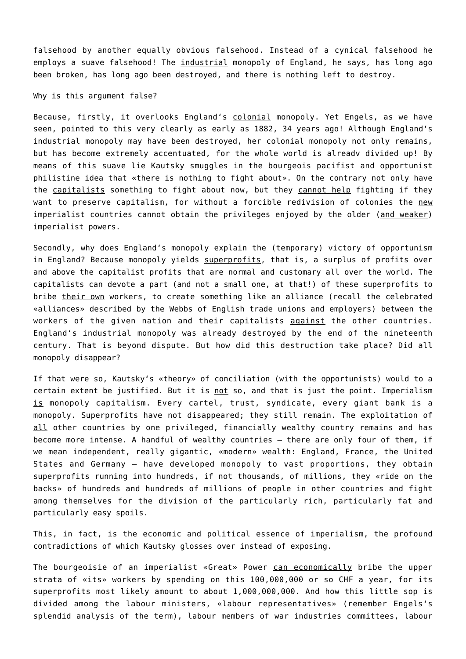falsehood by another equally obvious falsehood. Instead of a cynical falsehood he employs a suave falsehood! The industrial monopoly of England, he says, has long ago been broken, has long ago been destroyed, and there is nothing left to destroy.

## Why is this argument false?

Because, firstly, it overlooks England's colonial monopoly. Yet Engels, as we have seen, pointed to this very clearly as early as 1882, 34 years ago! Although England's industrial monopoly may have been destroyed, her colonial monopoly not only remains, but has become extremely accentuated, for the whole world is alreadv divided up! By means of this suave lie Kautsky smuggles in the bourgeois pacifist and opportunist philistine idea that «there is nothing to fight about». On the contrary not only have the capitalists something to fight about now, but they cannot help fighting if they want to preserve capitalism, for without a forcible redivision of colonies the new imperialist countries cannot obtain the privileges enjoyed by the older (and weaker) imperialist powers.

Secondly, why does England's monopoly explain the (temporary) victory of opportunism in England? Because monopoly yields superprofits, that is, a surplus of profits over and above the capitalist profits that are normal and customary all over the world. The capitalists can devote a part (and not a small one, at that!) of these superprofits to bribe their own workers, to create something like an alliance (recall the celebrated «alliances» described by the Webbs of English trade unions and employers) between the workers of the given nation and their capitalists against the other countries. England's industrial monopoly was already destroyed by the end of the nineteenth century. That is beyond dispute. But how did this destruction take place? Did all monopoly disappear?

If that were so, Kautsky's «theory» of conciliation (with the opportunists) would to a certain extent be justified. But it is not so, and that is just the point. Imperialism is monopoly capitalism. Every cartel, trust, syndicate, every giant bank is a monopoly. Superprofits have not disappeared; they still remain. The exploitation of all other countries by one privileged, financially wealthy country remains and has become more intense. A handful of wealthy countries — there are only four of them, if we mean independent, really gigantic, «modern» wealth: England, France, the United States and Germany — have developed monopoly to vast proportions, they obtain superprofits running into hundreds, if not thousands, of millions, they «ride on the backs» of hundreds and hundreds of millions of people in other countries and fight among themselves for the division of the particularly rich, particularly fat and particularly easy spoils.

This, in fact, is the economic and political essence of imperialism, the profound contradictions of which Kautsky glosses over instead of exposing.

The bourgeoisie of an imperialist «Great» Power can economically bribe the upper strata of «its» workers by spending on this 100,000,000 or so CHF a year, for its superprofits most likely amount to about 1,000,000,000. And how this little sop is divided among the labour ministers, «labour representatives» (remember Engels's splendid analysis of the term), labour members of war industries committees, labour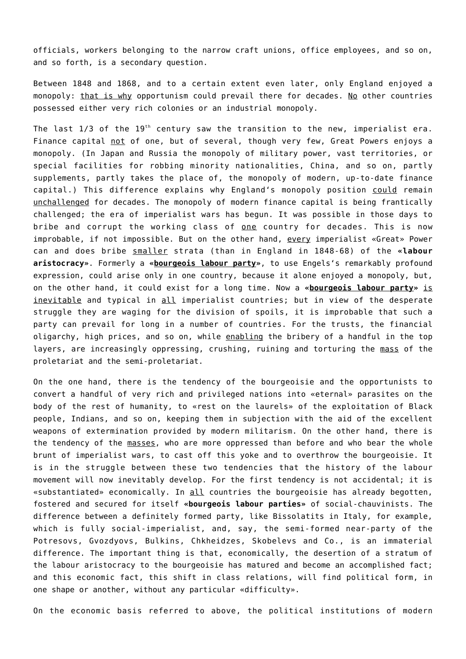officials, workers belonging to the narrow craft unions, office employees, and so on, and so forth, is a secondary question.

Between 1848 and 1868, and to a certain extent even later, only England enjoyed a monopoly: that is why opportunism could prevail there for decades. No other countries possessed either very rich colonies or an industrial monopoly.

The last  $1/3$  of the  $19<sup>th</sup>$  century saw the transition to the new, imperialist era. Finance capital not of one, but of several, though very few, Great Powers enjoys a monopoly. (In Japan and Russia the monopoly of military power, vast territories, or special facilities for robbing minority nationalities, China, and so on, partly supplements, partly takes the place of, the monopoly of modern, up-to-date finance capital.) This difference explains why England's monopoly position could remain unchallenged for decades. The monopoly of modern finance capital is being frantically challenged; the era of imperialist wars has begun. It was possible in those days to bribe and corrupt the working class of one country for decades. This is now improbable, if not impossible. But on the other hand, every imperialist «Great» Power can and does bribe smaller strata (than in England in 1848-68) of the **«labour aristocracy»**. Formerly a **«bourgeois labour party»**, to use Engels's remarkably profound expression, could arise only in one country, because it alone enjoyed a monopoly, but, on the other hand, it could exist for a long time. Now a **«bourgeois labour party»** is inevitable and typical in all imperialist countries; but in view of the desperate struggle they are waging for the division of spoils, it is improbable that such a party can prevail for long in a number of countries. For the trusts, the financial oligarchy, high prices, and so on, while enabling the bribery of a handful in the top layers, are increasingly oppressing, crushing, ruining and torturing the mass of the proletariat and the semi-proletariat.

On the one hand, there is the tendency of the bourgeoisie and the opportunists to convert a handful of very rich and privileged nations into «eternal» parasites on the body of the rest of humanity, to «rest on the laurels» of the exploitation of Black people, Indians, and so on, keeping them in subjection with the aid of the excellent weapons of extermination provided by modern militarism. On the other hand, there is the tendency of the masses, who are more oppressed than before and who bear the whole brunt of imperialist wars, to cast off this yoke and to overthrow the bourgeoisie. It is in the struggle between these two tendencies that the history of the labour movement will now inevitably develop. For the first tendency is not accidental; it is «substantiated» economically. In all countries the bourgeoisie has already begotten, fostered and secured for itself **«bourgeois labour parties»** of social-chauvinists. The difference between a definitely formed party, like Bissolatits in Italy, for example, which is fully social-imperialist, and, say, the semi-formed near-party of the Potresovs, Gvozdyovs, Bulkins, Chkheidzes, Skobelevs and Co., is an immaterial difference. The important thing is that, economically, the desertion of a stratum of the labour aristocracy to the bourgeoisie has matured and become an accomplished fact; and this economic fact, this shift in class relations, will find political form, in one shape or another, without any particular «difficulty».

On the economic basis referred to above, the political institutions of modern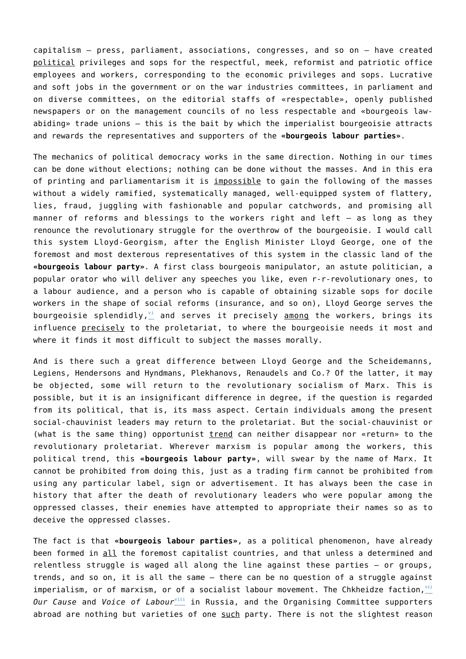capitalism — press, parliament, associations, congresses, and so on — have created political privileges and sops for the respectful, meek, reformist and patriotic office employees and workers, corresponding to the economic privileges and sops. Lucrative and soft jobs in the government or on the war industries committees, in parliament and on diverse committees, on the editorial staffs of «respectable», openly published newspapers or on the management councils of no less respectable and «bourgeois lawabiding» trade unions — this is the bait by which the imperialist bourgeoisie attracts and rewards the representatives and supporters of the **«bourgeois labour parties»**.

The mechanics of political democracy works in the same direction. Nothing in our times can be done without elections; nothing can be done without the masses. And in this era of printing and parliamentarism it is impossible to gain the following of the masses without a widely ramified, systematically managed, well-equipped system of flattery, lies, fraud, juggling with fashionable and popular catchwords, and promising all manner of reforms and blessings to the workers right and left — as long as they renounce the revolutionary struggle for the overthrow of the bourgeoisie. I would call this system Lloyd-Georgism, after the English Minister Lloyd George, one of the foremost and most dexterous representatives of this system in the classic land of the **«bourgeois labour party»**. A first class bourgeois manipulator, an astute politician, a popular orator who will deliver any speeches you like, even r-r-revolutionary ones, to a labour audience, and a person who is capable of obtaining sizable sops for docile workers in the shape of social reforms (insurance, and so on), Lloyd George serves the bourgeoisie splendidly, $\frac{v_i}{r}$  and serves it precisely among the workers, brings its influence precisely to the proletariat, to where the bourgeoisie needs it most and where it finds it most difficult to subject the masses morally.

<span id="page-8-0"></span>And is there such a great difference between Lloyd George and the Scheidemanns, Legiens, Hendersons and Hyndmans, Plekhanovs, Renaudels and Co.? Of the latter, it may be objected, some will return to the revolutionary socialism of Marx. This is possible, but it is an insignificant difference in degree, if the question is regarded from its political, that is, its mass aspect. Certain individuals among the present social-chauvinist leaders may return to the proletariat. But the social-chauvinist or (what is the same thing) opportunist trend can neither disappear nor «return» to the revolutionary proletariat. Wherever marxism is popular among the workers, this political trend, this **«bourgeois labour party»**, will swear by the name of Marx. It cannot be prohibited from doing this, just as a trading firm cannot be prohibited from using any particular label, sign or advertisement. It has always been the case in history that after the death of revolutionary leaders who were popular among the oppressed classes, their enemies have attempted to appropriate their names so as to deceive the oppressed classes.

<span id="page-8-2"></span><span id="page-8-1"></span>The fact is that **«bourgeois labour parties»**, as a political phenomenon, have already been formed in all the foremost capitalist countries, and that unless a determined and relentless struggle is waged all along the line against these parties — or groups, trends, and so on, it is all the same — there can be no question of a struggle against imperialism, or of marxism, or of a socialist labour movement. The Chkheidze faction, vil *Our Cause* and *Voice of Labour*<sup>[viii](#page-11-0)</sup> in Russia, and the Organising Committee supporters abroad are nothing but varieties of one such party. There is not the slightest reason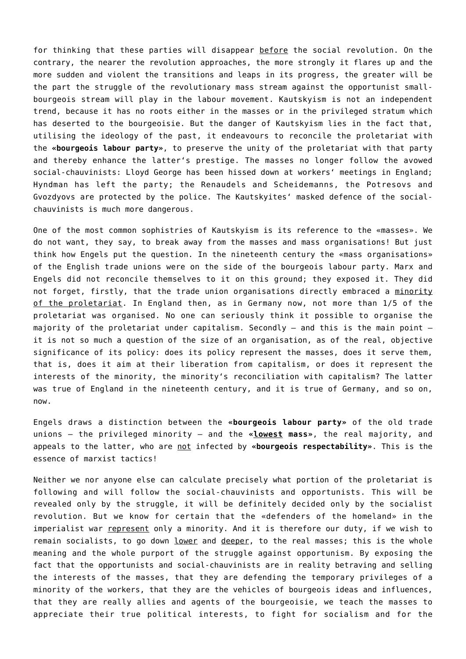for thinking that these parties will disappear before the social revolution. On the contrary, the nearer the revolution approaches, the more strongly it flares up and the more sudden and violent the transitions and leaps in its progress, the greater will be the part the struggle of the revolutionary mass stream against the opportunist smallbourgeois stream will play in the labour movement. Kautskyism is not an independent trend, because it has no roots either in the masses or in the privileged stratum which has deserted to the bourgeoisie. But the danger of Kautskyism lies in the fact that, utilising the ideology of the past, it endeavours to reconcile the proletariat with the **«bourgeois labour party»**, to preserve the unity of the proletariat with that party and thereby enhance the latter's prestige. The masses no longer follow the avowed social-chauvinists: Lloyd George has been hissed down at workers' meetings in England; Hyndman has left the party; the Renaudels and Scheidemanns, the Potresovs and Gvozdyovs are protected by the police. The Kautskyites' masked defence of the socialchauvinists is much more dangerous.

One of the most common sophistries of Kautskyism is its reference to the «masses». We do not want, they say, to break away from the masses and mass organisations! But just think how Engels put the question. In the nineteenth century the «mass organisations» of the English trade unions were on the side of the bourgeois labour party. Marx and Engels did not reconcile themselves to it on this ground; they exposed it. They did not forget, firstly, that the trade union organisations directly embraced a minority of the proletariat. In England then, as in Germany now, not more than 1/5 of the proletariat was organised. No one can seriously think it possible to organise the majority of the proletariat under capitalism. Secondly  $-$  and this is the main point  $$ it is not so much a question of the size of an organisation, as of the real, objective significance of its policy: does its policy represent the masses, does it serve them, that is, does it aim at their liberation from capitalism, or does it represent the interests of the minority, the minority's reconciliation with capitalism? The latter was true of England in the nineteenth century, and it is true of Germany, and so on, now.

Engels draws a distinction between the **«bourgeois labour party»** of the old trade unions — the privileged minority — and the **«lowest mass»**, the real majority, and appeals to the latter, who are not infected by **«bourgeois respectability»**. This is the essence of marxist tactics!

Neither we nor anyone else can calculate precisely what portion of the proletariat is following and will follow the social-chauvinists and opportunists. This will be revealed only by the struggle, it will be definitely decided only by the socialist revolution. But we know for certain that the «defenders of the homeland» in the imperialist war represent only a minority. And it is therefore our duty, if we wish to remain socialists, to go down lower and deeper, to the real masses; this is the whole meaning and the whole purport of the struggle against opportunism. By exposing the fact that the opportunists and social-chauvinists are in reality betraving and selling the interests of the masses, that they are defending the temporary privileges of a minority of the workers, that they are the vehicles of bourgeois ideas and influences, that they are really allies and agents of the bourgeoisie, we teach the masses to appreciate their true political interests, to fight for socialism and for the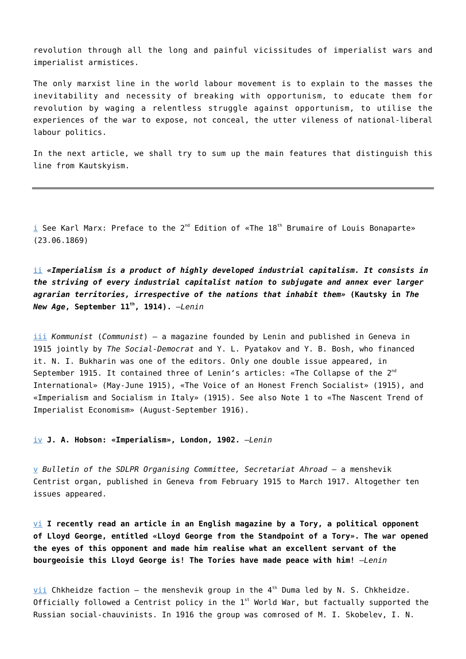revolution through all the long and painful vicissitudes of imperialist wars and imperialist armistices.

The only marxist line in the world labour movement is to explain to the masses the inevitability and necessity of breaking with opportunism, to educate them for revolution by waging a relentless struggle against opportunism, to utilise the experiences of the war to expose, not conceal, the utter vileness of national-liberal labour politics.

In the next article, we shall try to sum up the main features that distinguish this line from Kautskyism.

<span id="page-10-0"></span> $i$  See Karl Marx: Preface to the 2<sup>nd</sup> Edition of «The 18<sup>th</sup> Brumaire of Louis Bonaparte» (23.06.1869)

<span id="page-10-1"></span>[ii](#page-1-1) *«Imperialism is a product of highly developed industrial capitalism. It consists in the striving of every industrial capitalist nation to subjugate and annex ever larger agrarian territories, irrespective of the nations that inhabit them»* **(Kautsky in** *The New Age***, September 11th, 1914).** —*Lenin*

<span id="page-10-2"></span>[iii](#page-2-0) *Kommunist* (*Communist*) — a magazine founded by Lenin and published in Geneva in 1915 jointly by *The Social-Democrat* and Y. L. Pyatakov and Y. B. Bosh, who financed it. N. I. Bukharin was one of the editors. Only one double issue appeared, in September 1915. It contained three of Lenin's articles: «The Collapse of the  $2<sup>nd</sup>$ International» (May-June 1915), «The Voice of an Honest French Socialist» (1915), and «Imperialism and Socialism in Italy» (1915). See also Note 1 to «The Nascent Trend of Imperialist Economism» (August-September 1916).

<span id="page-10-3"></span>[iv](#page-2-1) **J. A. Hobson: «Imperialism», London, 1902.** —*Lenin*

<span id="page-10-4"></span>[v](#page-3-0) *Bulletin of the SDLPR Organising Committee, Secretariat Ahroad* — a menshevik Centrist organ, published in Geneva from February 1915 to March 1917. Altogether ten issues appeared.

<span id="page-10-5"></span>[vi](#page-8-0) **I recently read an article in an English magazine by a Tory, a political opponent of Lloyd George, entitled «Lloyd George from the Standpoint of a Tory». The war opened the eyes of this opponent and made him realise what an excellent servant of the bourgeoisie this Lloyd George is! The Tories have made peace with him!** —*Lenin*

<span id="page-10-6"></span>[vii](#page-8-1) Chkheidze faction - the menshevik group in the  $4<sup>th</sup>$  Duma led by N. S. Chkheidze. Officially followed a Centrist policy in the  $1<sup>st</sup>$  World War, but factually supported the Russian social-chauvinists. In 1916 the group was comrosed of M. I. Skobelev, I. N.